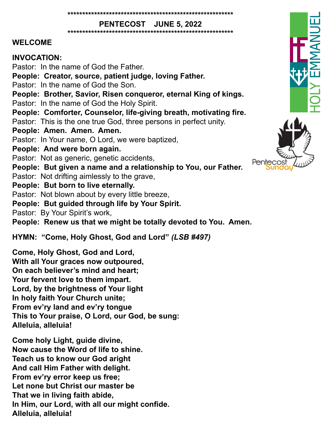**\*\*\*\*\*\*\*\*\*\*\*\*\*\*\*\*\*\*\*\*\*\*\*\*\*\*\*\*\*\*\*\*\*\*\*\*\*\*\*\*\*\*\*\*\*\*\*\*\*\*\*\*\*\*\*\***

**PENTECOST JUNE 5, 2022**

#### **\*\*\*\*\*\*\*\*\*\*\*\*\*\*\*\*\*\*\*\*\*\*\*\*\*\*\*\*\*\*\*\*\*\*\*\*\*\*\*\*\*\*\*\*\*\*\*\*\*\*\*\*\*\*\*\***

#### **WELCOME**

### **INVOCATION:**

Pastor: In the name of God the Father. **People: Creator, source, patient judge, loving Father.** Pastor: In the name of God the Son. **People: Brother, Savior, Risen conqueror, eternal King of kings.** Pastor: In the name of God the Holy Spirit. **People: Comforter, Counselor, life-giving breath, motivating fire.** Pastor: This is the one true God, three persons in perfect unity. **People: Amen. Amen. Amen.** Pastor: In Your name, O Lord, we were baptized, **People: And were born again.** Pastor: Not as generic, genetic accidents, **People: But given a name and a relationship to You, our Father.** Pastor: Not drifting aimlessly to the grave, **People: But born to live eternally.** Pastor: Not blown about by every little breeze, **People: But guided through life by Your Spirit.** Pastor: By Your Spirit's work, **People: Renew us that we might be totally devoted to You. Amen. HYMN: "Come, Holy Ghost, God and Lord"** *(LSB #497)*

**Come, Holy Ghost, God and Lord, With all Your graces now outpoured, On each believer's mind and heart; Your fervent love to them impart. Lord, by the brightness of Your light In holy faith Your Church unite; From ev'ry land and ev'ry tongue This to Your praise, O Lord, our God, be sung: Alleluia, alleluia!**

**Come holy Light, guide divine, Now cause the Word of life to shine. Teach us to know our God aright And call Him Father with delight. From ev'ry error keep us free; Let none but Christ our master be That we in living faith abide, In Him, our Lord, with all our might confide. Alleluia, alleluia!**



Pente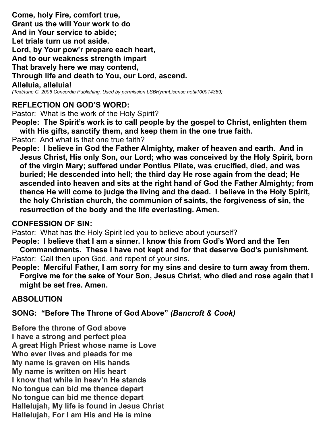**Come, holy Fire, comfort true, Grant us the will Your work to do And in Your service to abide; Let trials turn us not aside. Lord, by Your pow'r prepare each heart, And to our weakness strength impart That bravely here we may contend, Through life and death to You, our Lord, ascend. Alleluia, alleluia!** *(Text/tune C. 2006 Concordia Publishing. Used by permission LSBHymnLicense.net#100014389)*

# **REFLECTION ON GOD'S WORD:**

Pastor: What is the work of the Holy Spirit?

**People: The Spirit's work is to call people by the gospel to Christ, enlighten them with His gifts, sanctify them, and keep them in the one true faith.** 

Pastor: And what is that one true faith?

**People: I believe in God the Father Almighty, maker of heaven and earth. And in Jesus Christ, His only Son, our Lord; who was conceived by the Holy Spirit, born of the virgin Mary; suffered under Pontius Pilate, was crucified, died, and was buried; He descended into hell; the third day He rose again from the dead; He ascended into heaven and sits at the right hand of God the Father Almighty; from thence He will come to judge the living and the dead. I believe in the Holy Spirit, the holy Christian church, the communion of saints, the forgiveness of sin, the resurrection of the body and the life everlasting. Amen.** 

### **CONFESSION OF SIN:**

Pastor: What has the Holy Spirit led you to believe about yourself?

**People: I believe that I am a sinner. I know this from God's Word and the Ten Commandments. These I have not kept and for that deserve God's punishment.** Pastor: Call then upon God, and repent of your sins.

**People: Merciful Father, I am sorry for my sins and desire to turn away from them. Forgive me for the sake of Your Son, Jesus Christ, who died and rose again that I might be set free. Amen.** 

## **ABSOLUTION**

**SONG: "Before The Throne of God Above"** *(Bancroft & Cook)*

**Before the throne of God above I have a strong and perfect plea A great High Priest whose name is Love Who ever lives and pleads for me My name is graven on His hands My name is written on His heart I know that while in heav'n He stands No tongue can bid me thence depart No tongue can bid me thence depart Hallelujah, My life is found in Jesus Christ Hallelujah, For I am His and He is mine**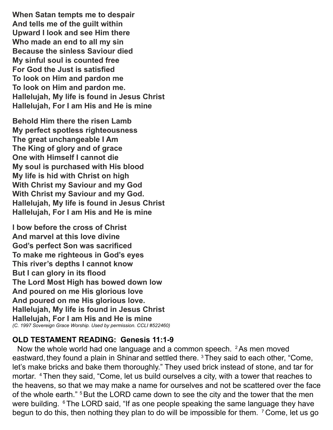**When Satan tempts me to despair And tells me of the guilt within Upward I look and see Him there Who made an end to all my sin Because the sinless Saviour died My sinful soul is counted free For God the Just is satisfied To look on Him and pardon me To look on Him and pardon me. Hallelujah, My life is found in Jesus Christ Hallelujah, For I am His and He is mine**

**Behold Him there the risen Lamb My perfect spotless righteousness The great unchangeable I Am The King of glory and of grace One with Himself I cannot die My soul is purchased with His blood My life is hid with Christ on high With Christ my Saviour and my God With Christ my Saviour and my God. Hallelujah, My life is found in Jesus Christ Hallelujah, For I am His and He is mine**

**I bow before the cross of Christ And marvel at this love divine God's perfect Son was sacrificed To make me righteous in God's eyes This river's depths I cannot know But I can glory in its flood The Lord Most High has bowed down low And poured on me His glorious love And poured on me His glorious love. Hallelujah, My life is found in Jesus Christ Hallelujah, For I am His and He is mine** *(C. 1997 Sovereign Grace Worship. Used by permission. CCLI #522460)*

### **OLD TESTAMENT READING: Genesis 11:1-9**

Now the whole world had one language and a common speech. 2 As men moved eastward, they found a plain in Shinar and settled there.  $3$  They said to each other, "Come, let's make bricks and bake them thoroughly." They used brick instead of stone, and tar for mortar. 4 Then they said, "Come, let us build ourselves a city, with a tower that reaches to the heavens, so that we may make a name for ourselves and not be scattered over the face of the whole earth." <sup>5</sup> But the LORD came down to see the city and the tower that the men were building. <sup>6</sup> The LORD said, "If as one people speaking the same language they have begun to do this, then nothing they plan to do will be impossible for them. <sup>7</sup> Come, let us go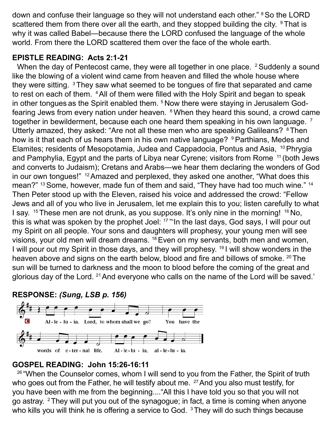down and confuse their language so they will not understand each other." <sup>8</sup> So the LORD scattered them from there over all the earth, and they stopped building the city.  $9$  That is why it was called Babel—because there the LORD confused the language of the whole world. From there the LORD scattered them over the face of the whole earth.

# **EPISTLE READING: Acts 2:1-21**

When the day of Pentecost came, they were all together in one place. <sup>2</sup> Suddenly a sound like the blowing of a violent wind came from heaven and filled the whole house where they were sitting.  $3$  They saw what seemed to be tongues of fire that separated and came to rest on each of them. 4 All of them were filled with the Holy Spirit and began to speak in other tongues as the Spirit enabled them. <sup>5</sup> Now there were staying in Jerusalem Godfearing Jews from every nation under heaven. 6 When they heard this sound, a crowd came together in bewilderment, because each one heard them speaking in his own language.<sup>7</sup> Utterly amazed, they asked: "Are not all these men who are speaking Galileans? <sup>8</sup> Then how is it that each of us hears them in his own native language? <sup>9</sup> Parthians, Medes and Elamites; residents of Mesopotamia, Judea and Cappadocia, Pontus and Asia, 10 Phrygia and Pamphylia, Egypt and the parts of Libya near Cyrene; visitors from Rome 11 (both Jews and converts to Judaism); Cretans and Arabs—we hear them declaring the wonders of God in our own tongues!" 12 Amazed and perplexed, they asked one another, "What does this mean?" <sup>13</sup> Some, however, made fun of them and said, "They have had too much wine." <sup>14</sup> Then Peter stood up with the Eleven, raised his voice and addressed the crowd: "Fellow Jews and all of you who live in Jerusalem, let me explain this to you; listen carefully to what I say.  $15$  These men are not drunk, as you suppose. It's only nine in the morning!  $16$  No, this is what was spoken by the prophet Joel:  $17$  "'In the last days, God says, I will pour out my Spirit on all people. Your sons and daughters will prophesy, your young men will see visions, your old men will dream dreams. 18 Even on my servants, both men and women, I will pour out my Spirit in those days, and they will prophesy. 19 I will show wonders in the heaven above and signs on the earth below, blood and fire and billows of smoke. <sup>20</sup> The sun will be turned to darkness and the moon to blood before the coming of the great and glorious day of the Lord. 21 And everyone who calls on the name of the Lord will be saved.'





### **GOSPEL READING: John 15:26-16:11**

 $26$  "When the Counselor comes, whom I will send to you from the Father, the Spirit of truth who goes out from the Father, he will testify about me. <sup>27</sup> And you also must testify, for you have been with me from the beginning...."All this I have told you so that you will not go astray. 2 They will put you out of the synagogue; in fact, a time is coming when anyone who kills you will think he is offering a service to God. <sup>3</sup> They will do such things because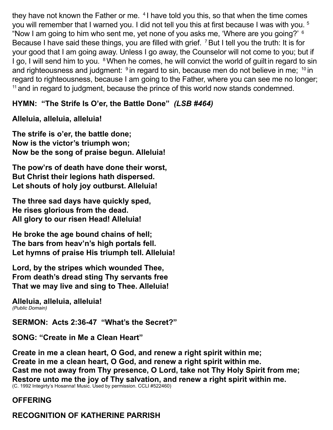they have not known the Father or me. <sup>4</sup> I have told you this, so that when the time comes you will remember that I warned you. I did not tell you this at first because I was with you. <sup>5</sup> "Now I am going to him who sent me, yet none of you asks me, 'Where are you going?' 6 Because I have said these things, you are filled with grief. <sup>7</sup> But I tell you the truth: It is for your good that I am going away. Unless I go away, the Counselor will not come to you; but if I go, I will send him to you. <sup>8</sup> When he comes, he will convict the world of guilt in regard to sin and righteousness and judgment:  $9$  in regard to sin, because men do not believe in me;  $10$  in regard to righteousness, because I am going to the Father, where you can see me no longer; <sup>11</sup> and in regard to judgment, because the prince of this world now stands condemned.

# **HYMN: "The Strife Is O'er, the Battle Done"** *(LSB #464)*

## **Alleluia, alleluia, alleluia!**

**The strife is o'er, the battle done; Now is the victor's triumph won; Now be the song of praise begun. Alleluia!** 

**The pow'rs of death have done their worst, But Christ their legions hath dispersed. Let shouts of holy joy outburst. Alleluia!**

**The three sad days have quickly sped, He rises glorious from the dead. All glory to our risen Head! Alleluia!**

**He broke the age bound chains of hell; The bars from heav'n's high portals fell. Let hymns of praise His triumph tell. Alleluia!**

**Lord, by the stripes which wounded Thee, From death's dread sting Thy servants free That we may live and sing to Thee. Alleluia!**

**Alleluia, alleluia, alleluia!** *(Public Domain)*

**SERMON: Acts 2:36-47 "What's the Secret?"**

**SONG: "Create in Me a Clean Heart"** 

**Create in me a clean heart, O God, and renew a right spirit within me; Create in me a clean heart, O God, and renew a right spirit within me. Cast me not away from Thy presence, O Lord, take not Thy Holy Spirit from me; Restore unto me the joy of Thy salvation, and renew a right spirit within me.**  (C. 1992 Integirty's Hosanna! Music. Used by permission. CCLI #522460)

# **OFFERING**

# **RECOGNITION OF KATHERINE PARRISH**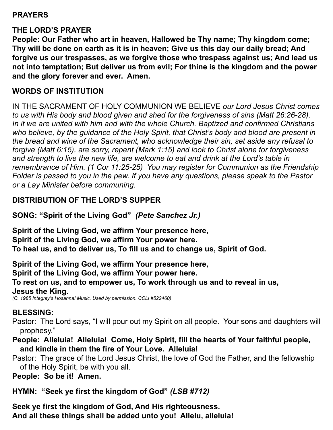## **PRAYERS**

## **THE LORD'S PRAYER**

**People: Our Father who art in heaven, Hallowed be Thy name; Thy kingdom come; Thy will be done on earth as it is in heaven; Give us this day our daily bread; And forgive us our trespasses, as we forgive those who trespass against us; And lead us not into temptation; But deliver us from evil; For thine is the kingdom and the power and the glory forever and ever. Amen.** 

#### **WORDS OF INSTITUTION**

IN THE SACRAMENT OF HOLY COMMUNION WE BELIEVE *our Lord Jesus Christ comes to us with His body and blood given and shed for the forgiveness of sins (Matt 26:26-28). In it we are united with him and with the whole Church. Baptized and confirmed Christians who believe, by the guidance of the Holy Spirit, that Christ's body and blood are present in the bread and wine of the Sacrament, who acknowledge their sin, set aside any refusal to forgive (Matt 6:15), are sorry, repent (Mark 1:15) and look to Christ alone for forgiveness and strength to live the new life, are welcome to eat and drink at the Lord's table in remembrance of Him. (1 Cor 11:25-25) You may register for Communion as the Friendship Folder is passed to you in the pew. If you have any questions, please speak to the Pastor or a Lay Minister before communing.*

## **DISTRIBUTION OF THE LORD'S SUPPER**

**SONG: "Spirit of the Living God"** *(Pete Sanchez Jr.)*

**Spirit of the Living God, we affirm Your presence here, Spirit of the Living God, we affirm Your power here. To heal us, and to deliver us, To fill us and to change us, Spirit of God.**

**Spirit of the Living God, we affirm Your presence here, Spirit of the Living God, we affirm Your power here. To rest on us, and to empower us, To work through us and to reveal in us, Jesus the King.**

*(C. 1985 Integrity's Hosanna! Music. Used by permission. CCLI #522460)*

#### **BLESSING:**

- Pastor: The Lord says, "I will pour out my Spirit on all people. Your sons and daughters will prophesy."
- **People: Alleluia! Alleluia! Come, Holy Spirit, fill the hearts of Your faithful people, and kindle in them the fire of Your Love. Alleluia!**
- Pastor: The grace of the Lord Jesus Christ, the love of God the Father, and the fellowship of the Holy Spirit, be with you all.

**People: So be it! Amen.** 

**HYMN: "Seek ye first the kingdom of God"** *(LSB #712)*

**Seek ye first the kingdom of God, And His righteousness. And all these things shall be added unto you! Allelu, alleluia!**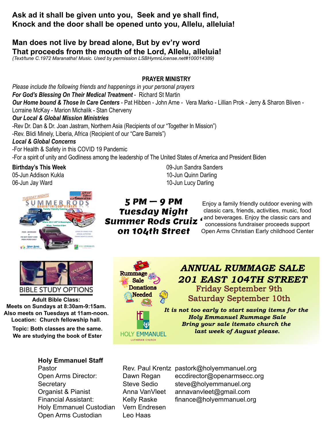#### **Ask ad it shall be given unto you, Seek and ye shall find, Knock and the door shall be opened unto you, Allelu, alleluia!**

#### **Man does not live by bread alone, But by ev'ry word That proceeds from the mouth of the Lord, Allelu, alleluia!**

*(Text/tune C.1972 Maranatha! Music. Used by permission LSBHymnLicense.net#100014389)*

#### **PRAYER MINISTRY**

*Please include the following friends and happenings in your personal prayers For God's Blessing On Their Medical Treatment* - Richard St Martin *Our Home bound & Those In Care Centers* - Pat Hibben - John Arne - Vera Marko - Lillian Prok - Jerry & Sharon Bliven - Lorraine McKay - Marion Michalik - Stan Cherveny

#### *Our Local & Global Mission Ministries*

-Rev Dr. Dan & Dr. Joan Jastram, Northern Asia (Recipients of our "Together In Mission")

-Rev. Blidi Minely, Liberia, Africa (Recipient of our "Care Barrels")

#### *Local & Global Concerns*

-For Health & Safety in this COVID 19 Pandemic -For a spirit of unity and Godliness among the leadership of The United States of America and President Biden

**Birthday's This Week** 05-Jun Addison Kukla 06-Jun Jay Ward



 $5 PM - 9 PM$ Tuesday Night Summer Rods Cruiz ' on 104th Street

09-Jun Sandra Sanders 10-Jun Quinn Darling 10-Jun Lucy Darling

> Enjoy a family friendly outdoor evening with classic cars, friends, activities, music, food and beverages. Enjoy the classic cars and concessions fundraiser proceeds support Open Arms Christian Early childhood Center



**Adult Bible Class: Meets on Sundays at 8:30am-9:15am. Meets on Sundays at 8:30am-9:15am. Also meets on Tuesdays at 11am-noon. Also meets on Tuesdays at 11am-noon. Location: Church fellowship hall. Location: Church fellowship hall. Also meets on Tuesdays at 11am-noon. Also meets on Tuesdays at 11am-noon. Adult Bible Class: Meets on Tuesuays at Fight-Hour.**<br>Leasting Obugah followship hall **Alesses Meets on Sundays at 8:30am-9:15am.** 

Topic: Both classes are the same.<br>Inst week We are studying the book of Ester HOLY EMMANUEL

#### **Holy Emmanuel Staff**

Holy Emmanuel Custodian Vern Endresen<br>Custodian Use Lises **Nov 24th, 6:30pm. Thanksgiving Eve Service with Communion Holiday Service Schedule:** Open Arms Custodian Leo Haas **Nov 24th, 6:30pm. The Communist Communist Communist Communist Communist Communist Communist Communist Communist Communist Communist Communist Communist Communist Communist Communist Communist Communist Communist Communist Holiday Service Schedule:** 



# *ANNUAL RUMMAGE SALE 201 EAST 104TH STREET* Friday September 9th Saturday September 10th

*It is not too early to start saving items for the Holy Emmanuel Rummage Sale Bring your sale itemsto church the last week of August please.*

Pastor **Rev. Paul Krentz pastork@holyemmanuel.org** Rev. Paul Krentz pastork@holyemmanuel.org Open Arms Director: Dawn Regan eccdirector@openarmsecc.org Secretary Steve Sedio steve@holyemmanuel.org Organist & Pianist **Anna VanVleet** annavanvleet@gmail.com Financial Assistant: Kelly Raske finance@holyemmanuel.org